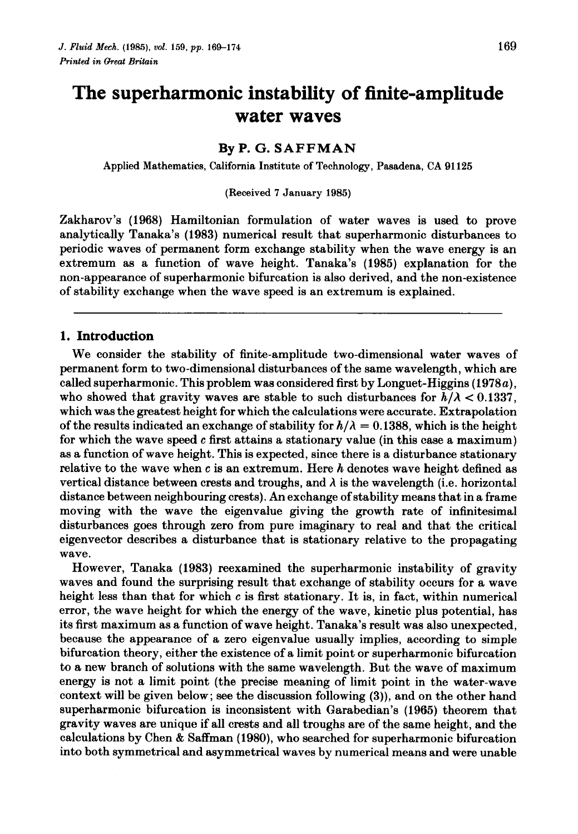# **The superharmonic instability of finite-amplitude water waves**

# **By P.** *G.* **SAFFMAN**

**Applied Mathematics, California Institute of Technology, Pasadena, CA 91 125** 

#### **(Received 7 January 1985)**

Zakharov's **(1968)** Hamiltonian formulation of water waves is used to prove analytically Tanaka's ( **1983)** numerical result that superharmonic disturbances to periodic waves of permanent form exchange stability when the wave energy is an extremum as a function of wave height. Tanaka's **(1985)** explanation for the non-appearance of superharmonic bifurcation is also derived, and the non-existence of stability exchange when the wave speed is an extremum is explained.

## **1. Introduction**

We consider the stability of finite-amplitude two-dimensional water waves of permanent form to two-dimensional disturbances of the same wavelength, which are called superharmonic. This problem was considered first by Longuet-Higgins (1978a), who showed that gravity waves are stable to such disturbances for  $h/\lambda < 0.1337$ , which was the greatest height for which the calculations were accurate. Extrapolation of the results indicated an exchange of stability for  $h/\lambda = 0.1388$ , which is the height for which the wave speed *c* first attains a stationary value (in this case **a** maximum) as a function of wave height. This is expected, since there is a disturbance stationary relative to the wave when **c** is an extremum. Here *h* denotes wave height defined as vertical distance between crests and troughs, and  $\lambda$  is the wavelength (i.e. horizontal distance between neighbouring crests). **An** exchange of stability means that in a frame moving with the wave the eigenvalue giving the growth rate of infinitesimal disturbances goes through zero from pure imaginary to real and that the critical eigenvector describes a disturbance that is stationary relative to the propagating wave.

However, Tanaka **(1983)** reexamined the superharmonic instability of gravity waves and found the surprising result that exchange of stability occurs for a wave height less than that for which  $c$  is first stationary. It is, in fact, within numerical error, the wave height for which the energy of the wave, kinetic plus potential, has its first maximum as a function of wave height. Tanaka's result was also unexpected, because the appearance of a zero eigenvalue usually implies, according to simple bifurcation theory, either the existence of a limit point or superharmonic bifurcation to a new branch of solutions with the same wavelength. But the wave of maximum energy is not a limit point (the precise meaning of limit point in the water-wave context will be given below; see the discussion following **(3)),** and on the other hand superharmonic bifurcation is inconsistent with Garabedian's **(1965)** theorem that gravity waves are unique if all crests and all troughs are of the same height, and the calculations by Chen & Saffman (1980), who searched for superharmonic bifurcation into both symmetrical and asymmetrical waves by numerical means and were unable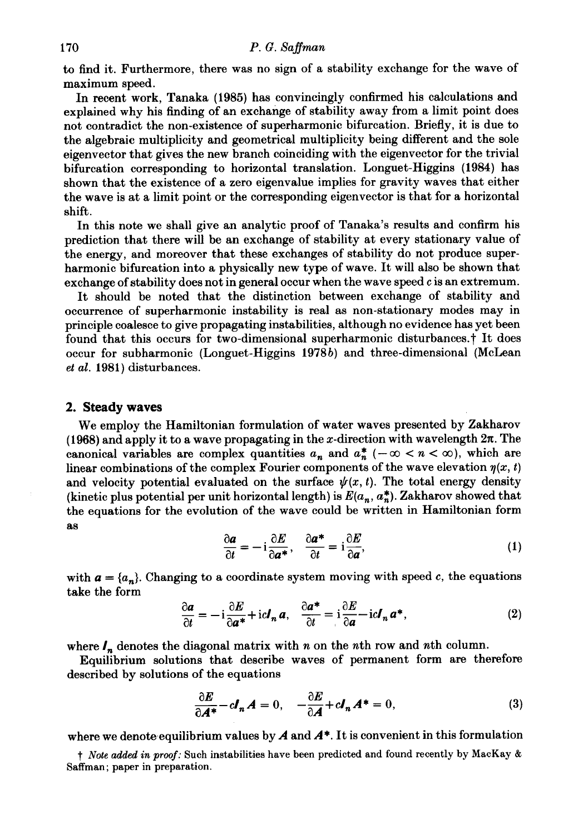to find it. Furthermore, there was no sign of a stability exchange for the wave of maximum speed.

In recent work, Tanaka **(1985)** has convincingly confirmed his calculations and explained why his finding of an exchange of stability away from a limit point does not contradict the non-existence of superharmonic bifurcation. Briefly, it is due to the algebraic multiplicity and geometrical multiplicity being different and the sole eigenvector that gives the new branch coinciding with the eigenvector for the trivial bifurcation corresponding to horizontal translation. Longuet-Higgins **(1984)** has shown that the existence of a zero eigenvalue implies for gravity waves that either the wave is at a limit point or the corresponding eigenvector is that for a horizontal shift.

In this note we shall give an analytic proof of Tanaka's results and confirm his prediction that there will be an exchange of stability at every stationary value of the energy, and moreover that these exchanges of stability do not produce superharmonic bifurcation into a physically new type of wave. It will also be shown that exchange of stability does not in general occur when the wave speed c is an extremum.

It should be noted that the distinction between exchange of stability and occurrence of superharmonic instability is real as non-stationary modes may in principle coalesce to give propagating instabilities, although no evidence has yet been found that this occurs for two-dimensional superharmonic disturbances.<sup>†</sup> It does occur for subharmonic (Longuet-Higgins 1978b) and three-dimensional (McLean et *ul.* **1981)** disturbances.

#### **2. Steady waves**

We employ the Hamiltonian formulation of water waves presented by Zakharov (1968) and apply it to a wave propagating in the x-direction with wavelength  $2\pi$ . The canonical variables are complex quantities  $a_n$  and  $a_n^*$  ( $-\infty < n < \infty$ ), which are linear combinations of the complex Fourier components of the wave elevation  $\eta(x, t)$ and velocity potential evaluated on the surface  $\psi(x, t)$ . The total energy density (kinetic plus potential per unit horizontal length) is  $E(a_n, a_n^*)$ . Zakharov showed that (kinetic plus potential per unit horizontal length) is  $E(a_n, a_n)$ . Zakharov showed that<br>the equations for the evolution of the wave could be written in Hamiltonian form<br>as<br> $\frac{\partial a}{\partial t} = -i \frac{\partial E}{\partial a^*}, \quad \frac{\partial a^*}{\partial t} = i \frac{\partial E}{\partial$ as

$$
\frac{\partial a}{\partial t} = -i \frac{\partial E}{\partial a^*}, \quad \frac{\partial a^*}{\partial t} = i \frac{\partial E}{\partial a}, \tag{1}
$$

with  $a = \{a_n\}$ . Changing to a coordinate system moving with speed c, the equations take the form  $\frac{\partial a}{\partial t} = -i\frac{\partial E}{\partial a^*} + icl_n a$ ,  $\frac{\partial a^*}{\partial t} = i\frac{\partial E}{\partial a} - icl_n a^*$ , (2) take the form

$$
\frac{\partial a}{\partial t} = -i \frac{\partial E}{\partial a^*} + icI_n a, \quad \frac{\partial a^*}{\partial t} = i \frac{\partial E}{\partial a} - icI_n a^*,
$$
 (2)

where  $I_n$  denotes the diagonal matrix with *n* on the *n*th row and *n*th column.

described by solutions of the equations Equilibrium solutions that describe waves of permanent form are therefore

$$
\frac{\partial E}{\partial A^*} - cI_n A = 0, \quad -\frac{\partial E}{\partial A} + cI_n A^* = 0,
$$
 (3)

where we denote equilibrium values by  $A$  and  $A^*$ . It is convenient in this formulation

t Note added *in proof:* **Such instabilities have been predicted and found recently by MacKay** & **Saffman** ; **paper in preparation.**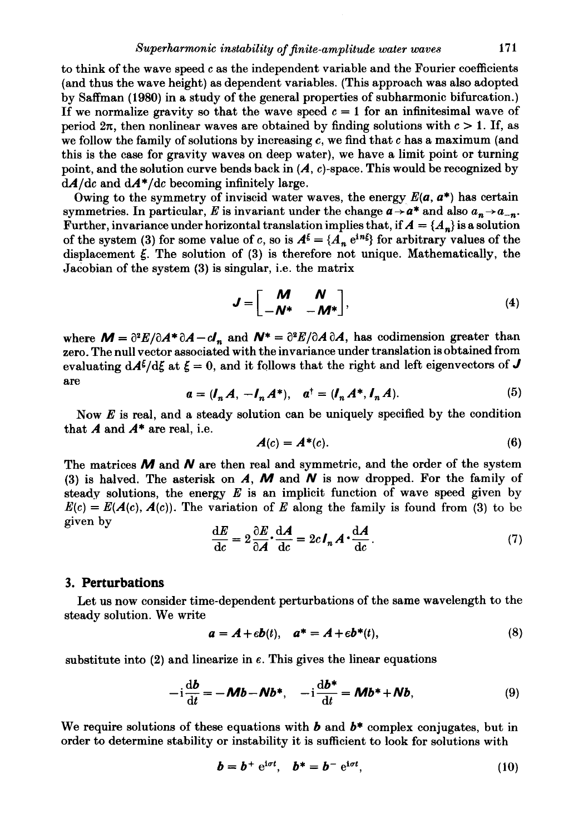to think of the wave speed  $c$  as the independent variable and the Fourier coefficients (and thus the wave height) as dependent variables. (This approach was also adopted by Saffman **(1980)** in a study of the general properties of subharmonic bifurcation.) If we normalize gravity so that the wave speed  $c = 1$  for an infinitesimal wave of period  $2\pi$ , then nonlinear waves are obtained by finding solutions with  $c > 1$ . If, as we follow the family of solutions by increasing  $c$ , we find that  $c$  has a maximum (and this is the case for gravity waves on deep water), we have a limit point or turning point, and the solution curve bends back in  $(A, c)$ -space. This would be recognized by  $dA/dc$  and  $dA^*/dc$  becoming infinitely large.

Owing to the symmetry of inviscid water waves, the energy  $E(a, a^*)$  has certain symmetries. In particular, E is invariant under the change  $a \rightarrow a^*$  and also  $a_n \rightarrow a_{-n}$ . Further, invariance under horizontal translation implies that, if  $A = \{A_n\}$  is a solution of the system (3) for some value of c, so is  $A^{\xi} = \{A_n e^{in\xi}\}\$  for arbitrary values of the displacement *6.* The solution of (3) is therefore not unique. Mathematically, the Jacobian of the system (3) is singular, i.e. the matrix

$$
J = \begin{bmatrix} M & N \\ -N^* & -M^* \end{bmatrix}, \tag{4}
$$

where  $M = \partial^2 E/\partial A^* \partial A - cI_n$  and  $N^* = \partial^2 E/\partial A \partial A$ , has codimension greater than zero. The null vector associated with the invariance under translation is obtained from evaluating  $dA^{\xi}/d\xi$  at  $\xi = 0$ , and it follows that the right and left eigenvectors of **J** are

$$
a = (I_n A, -I_n A^*), \quad a^{\dagger} = (I_n A^*, I_n A). \tag{5}
$$

Now  $E$  is real, and a steady solution can be uniquely specified by the condition that  $A$  and  $A^*$  are real, i.e.

$$
A(c) = A^*(c). \tag{6}
$$

The matrices  $M$  and  $N$  are then real and symmetric, and the order of the system (3) is halved. The asterisk on  $A$ ,  $M$  and  $N$  is now dropped. For the family of steady solutions, the energy  $E$  is an implicit function of wave speed given by  $E(c) = E(A(c), A(c))$ . The variation of E along the family is found from (3) to be given by  $\frac{dE}{d\theta} = 2\frac{\partial E}{\partial A} \cdot \frac{dA}{d\theta} = 2cI_n A \cdot \frac{dA}{d\theta}$ .

$$
\frac{\mathrm{d}E}{\mathrm{d}c} = 2 \frac{\partial E}{\partial A} \cdot \frac{\mathrm{d}A}{\mathrm{d}c} = 2c I_n A \cdot \frac{\mathrm{d}A}{\mathrm{d}c}.
$$
 (7)

### 3. **Perturbations**

steady solution. We write Let us now consider time-dependent perturbations of the same wavelength to the

$$
a = A + \epsilon b(t), \quad a^* = A + \epsilon b^*(t), \tag{8}
$$

substitute into (2) and linearize in  $\epsilon$ . This gives the linear equations

$$
-i\frac{\mathrm{d}b}{\mathrm{d}t} = -\mathbf{M}b - \mathbf{N}b^*, \quad -i\frac{\mathrm{d}b^*}{\mathrm{d}t} = \mathbf{M}b^* + \mathbf{N}b,\tag{9}
$$

We require solutions of these equations with  $b$  and  $b^*$  complex conjugates, but in order to determine stability or instability it is sufficient to look for solutions with

$$
\boldsymbol{b} = \boldsymbol{b}^+ e^{i\sigma t}, \quad \boldsymbol{b}^* = \boldsymbol{b}^- e^{i\sigma t}, \tag{10}
$$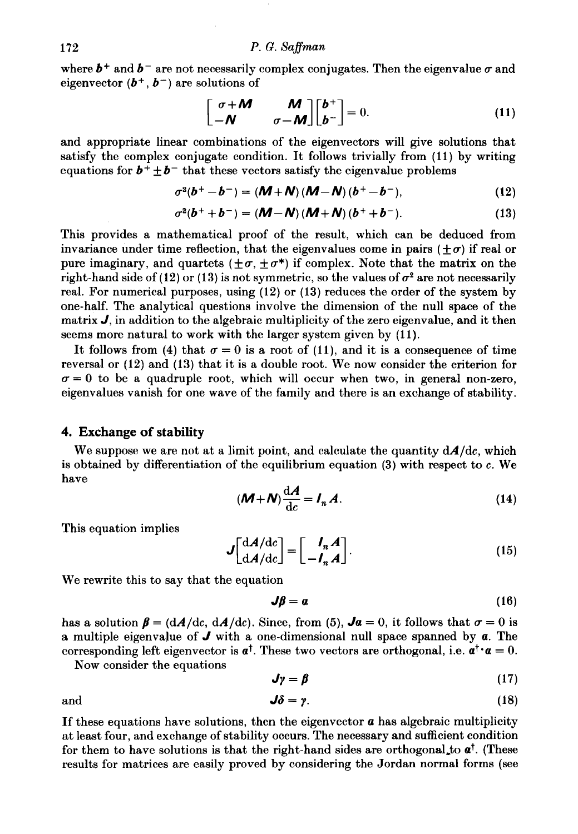where  $b^+$  and  $b^-$  are not necessarily complex conjugates. Then the eigenvalue  $\sigma$  and eigenvector  $(b^+, b^-)$  are solutions of

$$
\begin{bmatrix} \sigma + M & M \\ -N & \sigma - M \end{bmatrix} \begin{bmatrix} b^+ \\ b^- \end{bmatrix} = 0.
$$
 (11)

and appropriate linear combinations of the eigenvectors will give solutions that satisfy the complex conjugate condition. It follows trivially from **(11)** by writing equations for  $b^+ \pm b^-$  that these vectors satisfy the eigenvalue problems

$$
\sigma^{2}(\bm{b}^{+}-\bm{b}^{-}) = (\bm{M}+\bm{N}) (\bm{M}-\bm{N}) (\bm{b}^{+}-\bm{b}^{-}), \qquad (12)
$$

$$
\sigma^{2}(b^{+}+b^{-}) = (M-N)(M+N)(b^{+}+b^{-}).
$$
 (13)

This provides **a** mathematical proof of the result, which can be deduced from invariance under time reflection, that the eigenvalues come in pairs ( $\pm \sigma$ ) if real or pure imaginary, and quartets  $(\pm \sigma, \pm \sigma^*)$  if complex. Note that the matrix on the right-hand side of  $(12)$  or  $(13)$  is not symmetric, so the values of  $\sigma^2$  are not necessarily real. For numerical purposes, using **(12) or (13)** reduces the order of the system by one-half. The analytical questions involve the dimension of the null space of the matrix *J,* in addition to the algebraic multiplicity of the zero eigenvalue, and it then seems more natural to work with the larger system given by **(11).** 

It follows from (4) that  $\sigma = 0$  is a root of (11), and it is a consequence of time reversal or **(12)** and **(13)** that it is **a** double root. We now consider the criterion for  $\sigma = 0$  to be a quadruple root, which will occur when two, in general non-zero, eigenvalues vanish for one wave of the family and there is an exchange of stability.

## **4. Exchange of stability**

We suppose we are not at a limit point, and calculate the quantity  $dA/dc$ , which is obtained by differentiation of the equilibrium equation **(3)** with respect to c. We have

$$
(\mathbf{M} + \mathbf{N}) \frac{d\mathbf{A}}{dc} = \mathbf{I}_n \mathbf{A}.
$$
 (14)

This equation implies

$$
J\begin{bmatrix} \mathrm{d}A/\mathrm{d}c \\ \mathrm{d}A/\mathrm{d}c \end{bmatrix} = \begin{bmatrix} I_n A \\ -I_n A \end{bmatrix}.
$$
 (15)

We rewrite this to say that the equation

$$
J\beta = a \tag{16}
$$

has a solution  $\beta = (dA/dc, dA/dc)$ . Since, from (5),  $J\alpha = 0$ , it follows that  $\sigma = 0$  is **a** multiple eigenvalue of *J* with **a** one-dimensional null space spanned by *a.* The corresponding left eigenvector is  $a^{\dagger}$ . These two vectors are orthogonal, i.e.  $a^{\dagger} \cdot a = 0$ .

Now consider the equations

$$
J\gamma = \beta \tag{17}
$$

and 
$$
J\delta = \gamma
$$
. (18)

If these equations have solutions, then the eigenvector *a* has algebraic multiplicity at least four, and exchange of stability occurs. The necessary and sufficient condition for them to have solutions is that the right-hand sides are orthogonal<sub>sto</sub>  $\alpha^{\dagger}$ . (These results for matrices are easily proved by considering the Jordan normal forms (see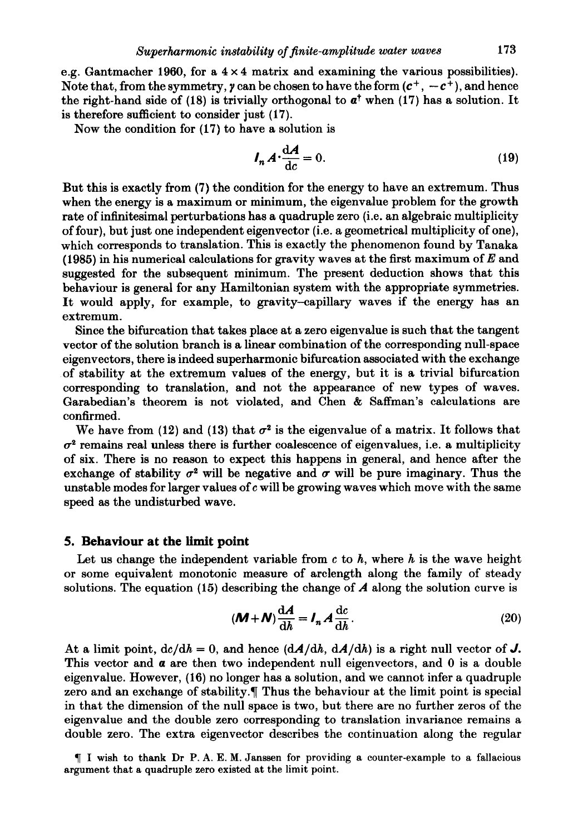e.g. Gantmacher 1960, for a  $4 \times 4$  matrix and examining the various possibilities). Note that, from the symmetry,  $\gamma$  can be chosen to have the form  $(c^+, -c^+)$ , and hence the right-hand side of (18) is trivially orthogonal to  $a^{\dagger}$  when (17) has a solution. It is therefore sufficient to consider just  $(17)$ .

Now the condition for **(17)** to have a solution is

$$
I_n A \cdot \frac{\mathrm{d}A}{\mathrm{d}c} = 0. \tag{19}
$$

But this is exactly from (7) the condition for the energy to have an extremum. Thus when the energy is a maximum or minimum, the eigenvalue problem for the growth rate of infinitesimal perturbations has a quadruple zero (i.e. an algebraic multiplicity of four), but just one independent eigenvector (i.e. a geometrical multiplicity of one), which corresponds to translation. This is exactly the phenomenon found by Tanaka **(1985)** in his numerical calculations for gravity waves at the first maximum of E and suggested for the subsequent minimum. The present deduction shows that this behaviour is general for any Hamiltonian system with the appropriate symmetries. It would apply, for example, to gravity-capillary waves if the energy has an extremum.

Since the bifurcation that takes place at a zero eigenvalue is such that the tangent vector of the solution branch is a linear combination of the corresponding null-space eigenvectors, there is indeed superharmonic bifurcation associated with the exchange of stability at the extremum values of the energy, but it is a trivial bifurcation corresponding to translation, and not the appearance of new types of waves. Garabedian's theorem is not violated, and Chen *6* Saffman's calculations are confirmed.

We have from (12) and (13) that  $\sigma^2$  is the eigenvalue of a matrix. It follows that  $\sigma^2$  remains real unless there is further coalescence of eigenvalues, i.e. a multiplicity of six. There is no reason to expect this happens in general, and hence after the exchange of stability  $\sigma^2$  will be negative and  $\sigma$  will be pure imaginary. Thus the unstable modes for larger values of **c** will be growing waves which move with the same speed as the undisturbed wave.

#### **5. Behaviour at the limit point**

Let us change the independent variable from  $c$  to  $h$ , where  $h$  is the wave height or some equivalent monotonic measure of arclength along the family of steady solutions. The equation **(15)** describing the change of A along the solution curve is

$$
(\mathbf{M} + \mathbf{N}) \frac{d\mathbf{A}}{dh} = \mathbf{I}_n \mathbf{A} \frac{dc}{dh}.
$$
 (20)

At a limit point,  $d\mathbf{c}/dh = 0$ , and hence  $(d\mathbf{A}/dh, d\mathbf{A}/dh)$  is a right null vector of **J.** This vector and **a** are then two independent null eigenvectors, and 0 is a double eigenvalue. However, **(16)** no longer has a solution, and we cannot infer a quadruple zero and an exchange of stability. If Thus the behaviour at the limit point is special in that the dimension of the null space is two, but there are no further zeros of the eigenvalue and the double zero corresponding to translation invariance remains a double zero. The extra eigenvector describes the continuation along the regular

*7* I wish to thank Dr P. A. E. M. Janssen for providing **a** counter-example to **a** fallacious argument that **a** quadruple zero existed at the limit point.